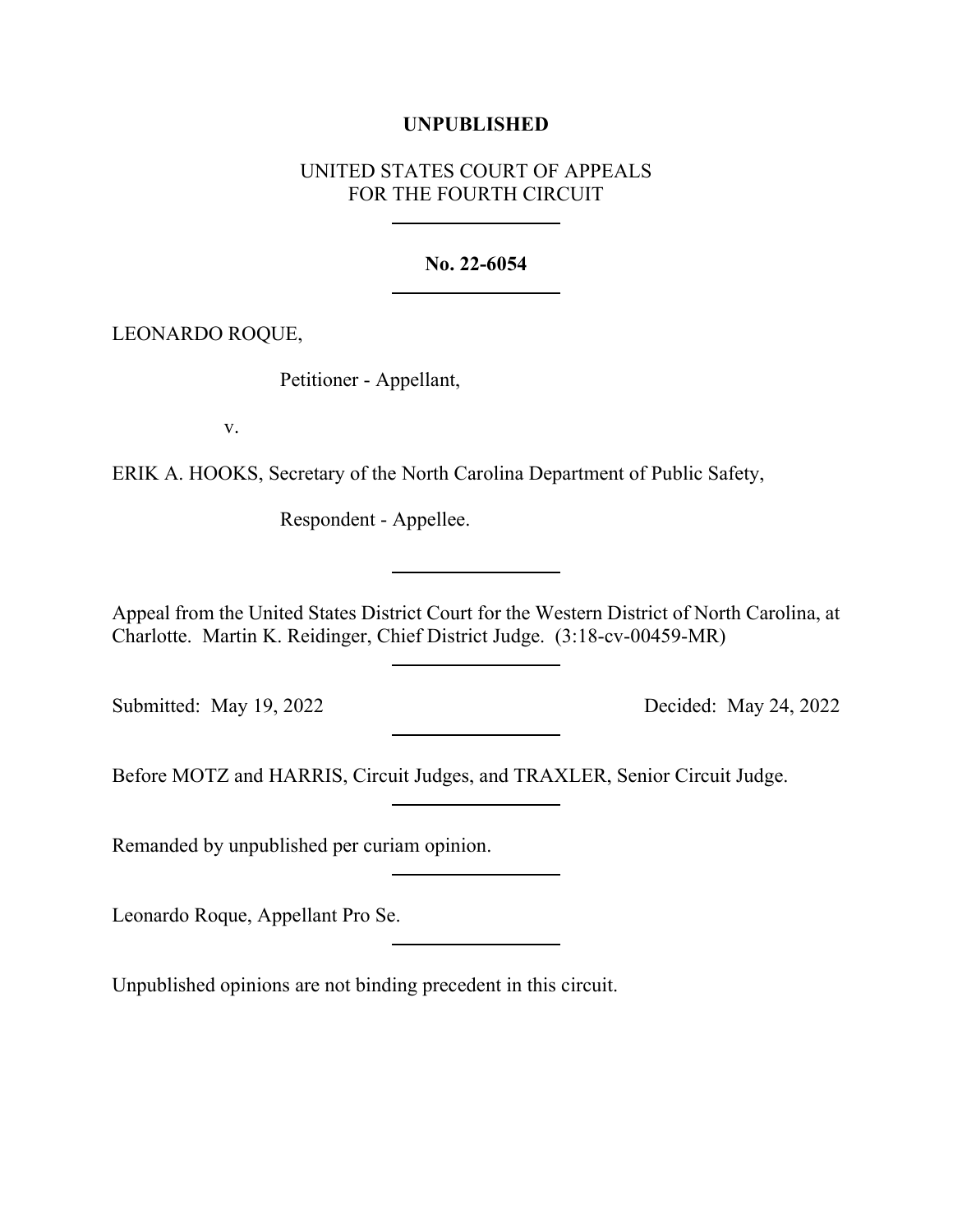## **UNPUBLISHED**

## UNITED STATES COURT OF APPEALS FOR THE FOURTH CIRCUIT

## **No. 22-6054**

LEONARDO ROQUE,

Petitioner - Appellant,

v.

ERIK A. HOOKS, Secretary of the North Carolina Department of Public Safety,

Respondent - Appellee.

Appeal from the United States District Court for the Western District of North Carolina, at Charlotte. Martin K. Reidinger, Chief District Judge. (3:18-cv-00459-MR)

Submitted: May 19, 2022 Decided: May 24, 2022

Before MOTZ and HARRIS, Circuit Judges, and TRAXLER, Senior Circuit Judge.

Remanded by unpublished per curiam opinion.

Leonardo Roque, Appellant Pro Se.

Unpublished opinions are not binding precedent in this circuit.